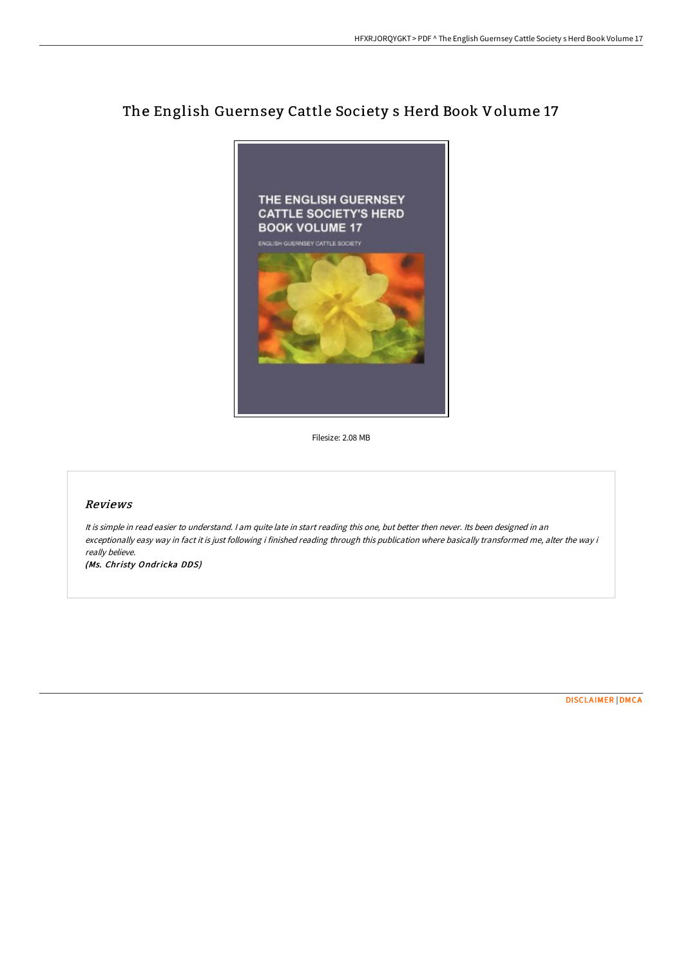# The English Guernsey Cattle Society s Herd Book Volume 17



Filesize: 2.08 MB

#### Reviews

It is simple in read easier to understand. I am quite late in start reading this one, but better then never. Its been designed in an exceptionally easy way in fact it is just following i finished reading through this publication where basically transformed me, alter the way i really believe.

(Ms. Christy Ondricka DDS)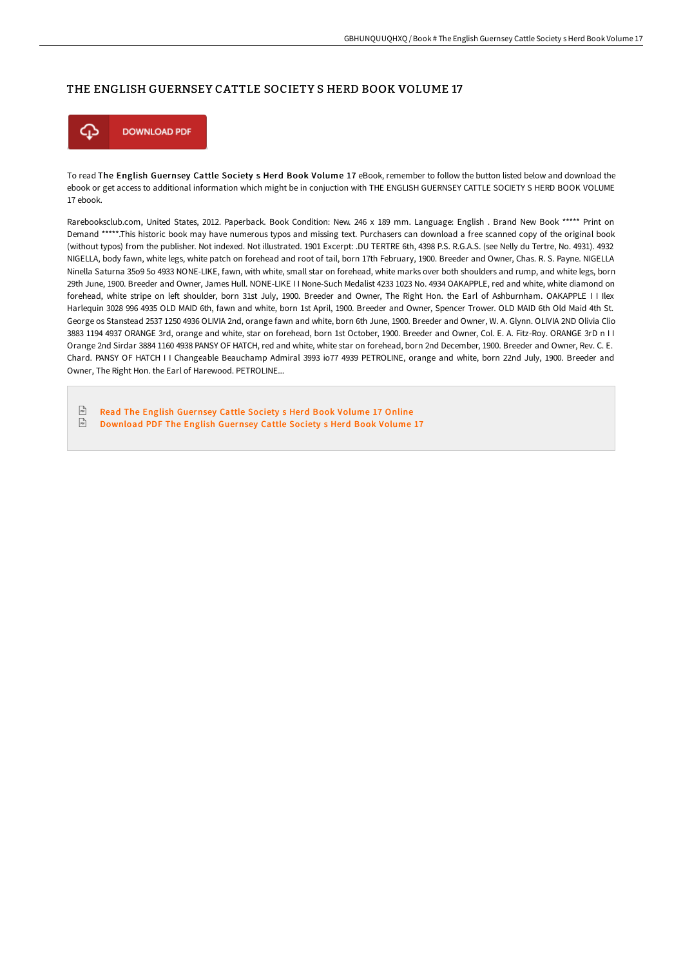## THE ENGLISH GUERNSEY CATTLE SOCIETY S HERD BOOK VOLUME 17



To read The English Guernsey Cattle Society s Herd Book Volume 17 eBook, remember to follow the button listed below and download the ebook or get access to additional information which might be in conjuction with THE ENGLISH GUERNSEY CATTLE SOCIETY S HERD BOOK VOLUME 17 ebook.

Rarebooksclub.com, United States, 2012. Paperback. Book Condition: New. 246 x 189 mm. Language: English . Brand New Book \*\*\*\*\* Print on Demand \*\*\*\*\*.This historic book may have numerous typos and missing text. Purchasers can download a free scanned copy of the original book (without typos) from the publisher. Not indexed. Not illustrated. 1901 Excerpt: .DU TERTRE 6th, 4398 P.S. R.G.A.S. (see Nelly du Tertre, No. 4931). 4932 NIGELLA, body fawn, white legs, white patch on forehead and root of tail, born 17th February, 1900. Breeder and Owner, Chas. R. S. Payne. NIGELLA Ninella Saturna 35o9 5o 4933 NONE-LIKE, fawn, with white, small star on forehead, white marks over both shoulders and rump, and white legs, born 29th June, 1900. Breeder and Owner, James Hull. NONE-LIKE I I None-Such Medalist 4233 1023 No. 4934 OAKAPPLE, red and white, white diamond on forehead, white stripe on left shoulder, born 31st July, 1900. Breeder and Owner, The Right Hon. the Earl of Ashburnham. OAKAPPLE I I Ilex Harlequin 3028 996 4935 OLD MAID 6th, fawn and white, born 1st April, 1900. Breeder and Owner, Spencer Trower. OLD MAID 6th Old Maid 4th St. George os Stanstead 2537 1250 4936 OLIVIA 2nd, orange fawn and white, born 6th June, 1900. Breeder and Owner, W. A. Glynn. OLIVIA 2ND Olivia Clio 3883 1194 4937 ORANGE 3rd, orange and white, star on forehead, born 1st October, 1900. Breeder and Owner, Col. E. A. Fitz-Roy. ORANGE 3rD n I I Orange 2nd Sirdar 3884 1160 4938 PANSY OF HATCH, red and white, white star on forehead, born 2nd December, 1900. Breeder and Owner, Rev. C. E. Chard. PANSY OF HATCH I I Changeable Beauchamp Admiral 3993 io77 4939 PETROLINE, orange and white, born 22nd July, 1900. Breeder and Owner, The Right Hon. the Earl of Harewood. PETROLINE...

 $\boxed{m}$ Read The English [Guernsey](http://techno-pub.tech/the-english-guernsey-cattle-society-s-herd-book--1.html) Cattle Society s Herd Book Volume 17 Online  $\sqrt{\frac{1}{n}}$ [Download](http://techno-pub.tech/the-english-guernsey-cattle-society-s-herd-book--1.html) PDF The English Guernsey Cattle Society s Herd Book Volume 17